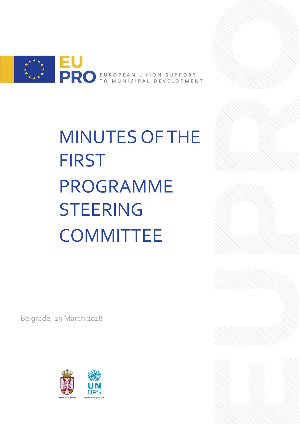

MINUTES OF THE FIRST PROGRAMME STEERING **COMMITTEE** 

Belgrade, 29 March 2018

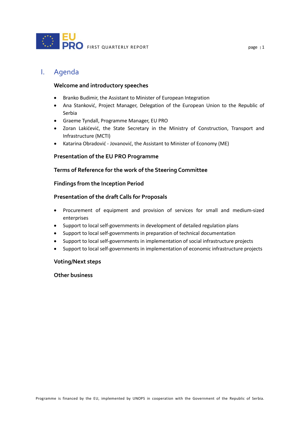

# I. Agenda

### **Welcome and introductory speeches**

- Branko Budimir, the Assistant to Minister of European Integration
- Ana Stanković, Project Manager, Delegation of the European Union to the Republic of Serbia
- Graeme Tyndall, Programme Manager, EU PRO
- Zoran Lakićević, the State Secretary in the Ministry of Construction, Transport and Infrastructure (MCTI)
- Katarina Obradović Jovanović, the Assistant to Minister of Economy (ME)

### **Presentation of the EU PRO Programme**

### **Terms of Reference for the work of the Steering Committee**

#### **Findings from the Inception Period**

#### **Presentation of the draft Calls for Proposals**

- Procurement of equipment and provision of services for small and medium-sized enterprises
- Support to local self-governments in development of detailed regulation plans
- Support to local self-governments in preparation of technical documentation
- Support to local self-governments in implementation of social infrastructure projects
- Support to local self-governments in implementation of economic infrastructure projects

#### **Voting/Next steps**

## **Other business**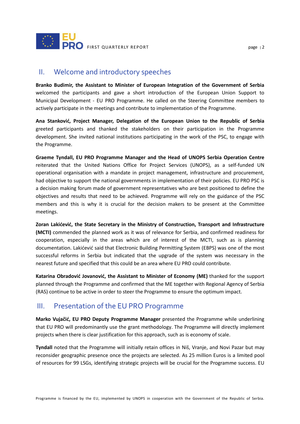

## II. Welcome and introductory speeches

**Branko Budimir, the Assistant to Minister of European Integration of the Government of Serbia**  welcomed the participants and gave a short introduction of the European Union Support to Municipal Development - EU PRO Programme. He called on the Steering Committee members to actively participate in the meetings and contribute to implementation of the Programme.

**Ana Stanković, Project Manager, Delegation of the European Union to the Republic of Serbia**  greeted participants and thanked the stakeholders on their participation in the Programme development. She invited national institutions participating in the work of the PSC, to engage with the Programme.

**Graeme Tyndall, EU PRO Programme Manager and the Head of UNOPS Serbia Operation Centre** reiterated that the United Nations Office for Project Services (UNOPS), as a self-funded UN operational organisation with a mandate in project management, infrastructure and procurement, had objective to support the national governments in implementation of their policies. EU PRO PSC is a decision making forum made of government representatives who are best positioned to define the objectives and results that need to be achieved. Programme will rely on the guidance of the PSC members and this is why it is crucial for the decision makers to be present at the Committee meetings.

**Zoran Lakićević, the State Secretary in the Ministry of Construction, Transport and Infrastructure (MCTI)** commended the planned work as it was of relevance for Serbia, and confirmed readiness for cooperation, especially in the areas which are of interest of the MCTI, such as is planning documentation. Lakićević said that Electronic Building Permitting System (EBPS) was one of the most successful reforms in Serbia but indicated that the upgrade of the system was necessary in the nearest future and specified that this could be an area where EU PRO could contribute.

**Katarina Obradović Jovanović, the Assistant to Minister of Economy (ME)** thanked for the support planned through the Programme and confirmed that the ME together with Regional Agency of Serbia (RAS) continue to be active in order to steer the Programme to ensure the optimum impact.

## III. Presentation of the EU PRO Programme

**Marko Vujačić, EU PRO Deputy Programme Manager** presented the Programme while underlining that EU PRO will predominantly use the grant methodology. The Programme will directly implement projects when there is clear justification for this approach, such as is economy of scale.

**Tyndall** noted that the Programme will initially retain offices in Niš, Vranje, and Novi Pazar but may reconsider geographic presence once the projects are selected. As 25 million Euros is a limited pool of resources for 99 LSGs, identifying strategic projects will be crucial for the Programme success. EU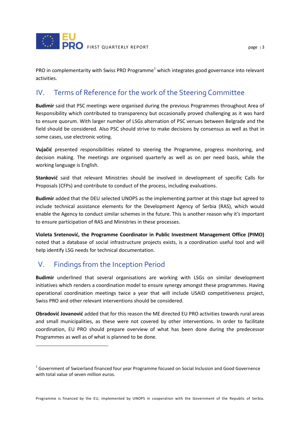

PRO in complementarity with Swiss PRO Programme<sup>[1](#page-3-0)</sup> which integrates good governance into relevant activities.

# IV. Terms of Reference for the work of the Steering Committee

**Budimir** said that PSC meetings were organised during the previous Programmes throughout Area of Responsibility which contributed to transparency but occasionally proved challenging as it was hard to ensure quorum. With larger number of LSGs alternation of PSC venues between Belgrade and the field should be considered. Also PSC should strive to make decisions by consensus as well as that in some cases, use electronic voting.

**Vujačić** presented responsibilities related to steering the Programme, progress monitoring, and decision making. The meetings are organised quarterly as well as on per need basis, while the working language is English.

**Stanković** said that relevant Ministries should be involved in development of specific Calls for Proposals (CFPs) and contribute to conduct of the process, including evaluations.

**Budimir** added that the DEU selected UNOPS as the implementing partner at this stage but agreed to include technical assistance elements for the Development Agency of Serbia (RAS), which would enable the Agency to conduct similar schemes in the future. This is another reason why it's important to ensure participation of RAS and Ministries in these processes.

**Violeta Sretenović, the Programme Coordinator in Public Investment Management Office (PIMO)**  noted that a database of social infrastructure projects exists, is a coordination useful tool and will help identify LSG needs for technical documentation.

# V. Findings from the Inception Period

 $\overline{a}$ 

**Budimir** underlined that several organisations are working with LSGs on similar development initiatives which renders a coordination model to ensure synergy amongst these programmes. Having operational coordination meetings twice a year that will include USAID competitiveness project, Swiss PRO and other relevant interventions should be considered.

**Obradović Jovanović** added that for this reason the ME directed EU PRO activities towards rural areas and small municipalities, as these were not covered by other interventions. In order to facilitate coordination, EU PRO should prepare overview of what has been done during the predecessor Programmes as well as of what is planned to be done.

<span id="page-3-0"></span><sup>&</sup>lt;sup>1</sup> Government of Swizerland financed four year Programme focused on Social Inclusion and Good Governence with total value of seven million euros.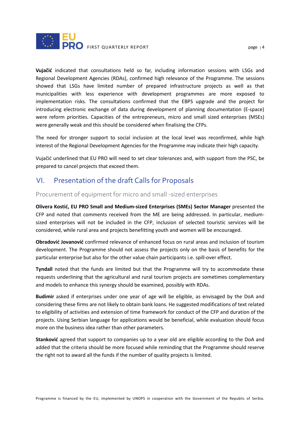

**Vujačić** indicated that consultations held so far, including information sessions with LSGs and Regional Development Agencies (RDAs), confirmed high relevance of the Programme. The sessions showed that LSGs have limited number of prepared infrastructure projects as well as that municipalities with less experience with development programmes are more exposed to implementation risks. The consultations confirmed that the EBPS upgrade and the project for introducing electronic exchange of data during development of planning documentation (E-space) were reform priorities. Capacities of the entrepreneurs, micro and small sized enterprises (MSEs) were generally weak and this should be considered when finalising the CFPs.

The need for stronger support to social inclusion at the local level was reconfirmed, while high interest of the Regional Development Agencies for the Programme may indicate their high capacity.

Vujačić underlined that EU PRO will need to set clear tolerances and, with support from the PSC, be prepared to cancel projects that exceed them.

# VI. Presentation of the draft Calls for Proposals

## Procurement of equipment for micro and small -sized enterprises

**Olivera Kostić, EU PRO Small and Medium-sized Enterprises (SMEs) Sector Manager** presented the CFP and noted that comments received from the ME are being addressed. In particular, mediumsized enterprises will not be included in the CFP, inclusion of selected touristic services will be considered, while rural area and projects benefitting youth and women will be encouraged.

**Obradović Jovanović** confirmed relevance of enhanced focus on rural areas and inclusion of tourism development. The Programme should not assess the projects only on the basis of benefits for the particular enterprise but also for the other value chain participants i.e. spill-over effect.

**Tyndall** noted that the funds are limited but that the Programme will try to accommodate these requests underlining that the agricultural and rural tourism projects are sometimes complementary and models to enhance this synergy should be examined, possibly with RDAs.

**Budimir** asked if enterprises under one year of age will be eligible, as envisaged by the DoA and considering these firms are not likely to obtain bank loans. He suggested modifications of text related to eligibility of activities and extension of time framework for conduct of the CFP and duration of the projects. Using Serbian language for applications would be beneficial, while evaluation should focus more on the business idea rather than other parameters.

**Stanković** agreed that support to companies up to a year old are eligible according to the DoA and added that the criteria should be more focused while reminding that the Programme should reserve the right not to award all the funds if the number of quality projects is limited.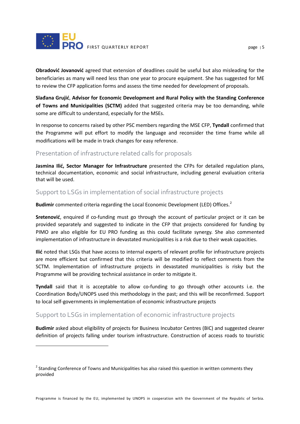

**Obradović Jovanović** agreed that extension of deadlines could be useful but also misleading for the beneficiaries as many will need less than one year to procure equipment. She has suggested for ME to review the CFP application forms and assess the time needed for development of proposals.

**Slađana Grujić**, **Advisor for Economic Development and Rural Policy with the Standing Conference of Towns and Municipalities (SCTM)** added that suggested criteria may be too demanding, while some are difficult to understand, especially for the MSEs.

In response to concerns raised by other PSC members regarding the MSE CFP, **Tyndall** confirmed that the Programme will put effort to modify the language and reconsider the time frame while all modifications will be made in track changes for easy reference.

## Presentation of infrastructure related calls for proposals

**Jasmina Ilić, Sector Manager for Infrastructure** presented the CFPs for detailed regulation plans, technical documentation, economic and social infrastructure, including general evaluation criteria that will be used.

## Support to LSGs in implementation of social infrastructure projects

**Budimir** commented criteria regarding the Local Economic Development (LED) Offices. [2](#page-5-0)

**Sretenović**, enquired if co-funding must go through the account of particular project or it can be provided separately and suggested to indicate in the CFP that projects considered for funding by PIMO are also eligible for EU PRO funding as this could facilitate synergy. She also commented implementation of infrastructure in devastated municipalities is a risk due to their weak capacities.

**Ilić** noted that LSGs that have access to internal experts of relevant profile for infrastructure projects are more efficient but confirmed that this criteria will be modified to reflect comments from the SCTM. Implementation of infrastructure projects in devastated municipalities is risky but the Programme will be providing technical assistance in order to mitigate it.

**Tyndall** said that it is acceptable to allow co-funding to go through other accounts i.e. the Coordination Body/UNOPS used this methodology in the past; and this will be reconfirmed. Support to local self-governments in implementation of economic infrastructure projects

## Support to LSGs in implementation of economic infrastructure projects

 $\overline{a}$ 

**Budimir** asked about eligibility of projects for Business Incubator Centres (BIC) and suggested clearer definition of projects falling under tourism infrastructure. Construction of access roads to touristic

<span id="page-5-0"></span><sup>&</sup>lt;sup>2</sup> Standing Conference of Towns and Municipalities has also raised this question in written comments they provided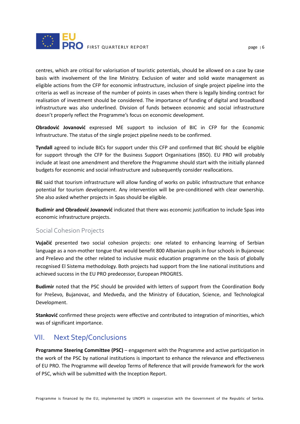

centres, which are critical for valorisation of touristic potentials, should be allowed on a case by case basis with involvement of the line Ministry. Exclusion of water and solid waste management as eligible actions from the CFP for economic infrastructure, inclusion of single project pipeline into the criteria as well as increase of the number of points in cases when there is legally binding contract for realisation of investment should be considered. The importance of funding of digital and broadband infrastructure was also underlined. Division of funds between economic and social infrastructure doesn't properly reflect the Programme's focus on economic development.

**Obradović Jovanović** expressed ME support to inclusion of BIC in CFP for the Economic Infrastructure. The status of the single project pipeline needs to be confirmed.

**Tyndall** agreed to include BICs for support under this CFP and confirmed that BIC should be eligible for support through the CFP for the Business Support Organisations (BSO). EU PRO will probably include at least one amendment and therefore the Programme should start with the initially planned budgets for economic and social infrastructure and subsequently consider reallocations.

**Ilić** said that tourism infrastructure will allow funding of works on public infrastructure that enhance potential for tourism development. Any intervention will be pre-conditioned with clear ownership. She also asked whether projects in Spas should be eligible.

**Budimir and Obradović Jovanović** indicated that there was economic justification to include Spas into economic infrastructure projects.

### Social Cohesion Projects

**Vujačić** presented two social cohesion projects: one related to enhancing learning of Serbian language as a non-mother tongue that would benefit 800 Albanian pupils in four schools in Bujanovac and Preševo and the other related to inclusive music education programme on the basis of globally recognised El Sistema methodology. Both projects had support from the line national institutions and achieved success in the EU PRO predecessor, European PROGRES.

**Budimir** noted that the PSC should be provided with letters of support from the Coordination Body for Preševo, Bujanovac, and Medveđa, and the Ministry of Education, Science, and Technological Development.

**Stanković** confirmed these projects were effective and contributed to integration of minorities, which was of significant importance.

## VII. Next Step/Conclusions

**Programme Steering Committee (PSC)** – engagement with the Programme and active participation in the work of the PSC by national institutions is important to enhance the relevance and effectiveness of EU PRO. The Programme will develop Terms of Reference that will provide framework for the work of PSC, which will be submitted with the Inception Report.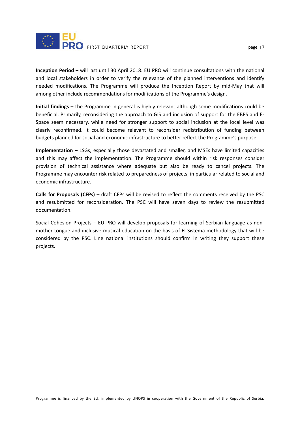

**Inception Period** – will last until 30 April 2018. EU PRO will continue consultations with the national and local stakeholders in order to verify the relevance of the planned interventions and identify needed modifications. The Programme will produce the Inception Report by mid-May that will among other include recommendations for modifications of the Programme's design.

**Initial findings –** the Programme in general is highly relevant although some modifications could be beneficial. Primarily, reconsidering the approach to GIS and inclusion of support for the EBPS and E-Space seem necessary, while need for stronger support to social inclusion at the local level was clearly reconfirmed. It could become relevant to reconsider redistribution of funding between budgets planned for social and economic infrastructure to better reflect the Programme's purpose.

**Implementation –** LSGs, especially those devastated and smaller, and MSEs have limited capacities and this may affect the implementation. The Programme should within risk responses consider provision of technical assistance where adequate but also be ready to cancel projects. The Programme may encounter risk related to preparedness of projects, in particular related to social and economic infrastructure.

**Calls for Proposals (CFPs)** – draft CFPs will be revised to reflect the comments received by the PSC and resubmitted for reconsideration. The PSC will have seven days to review the resubmitted documentation.

Social Cohesion Projects – EU PRO will develop proposals for learning of Serbian language as nonmother tongue and inclusive musical education on the basis of El Sistema methodology that will be considered by the PSC. Line national institutions should confirm in writing they support these projects.